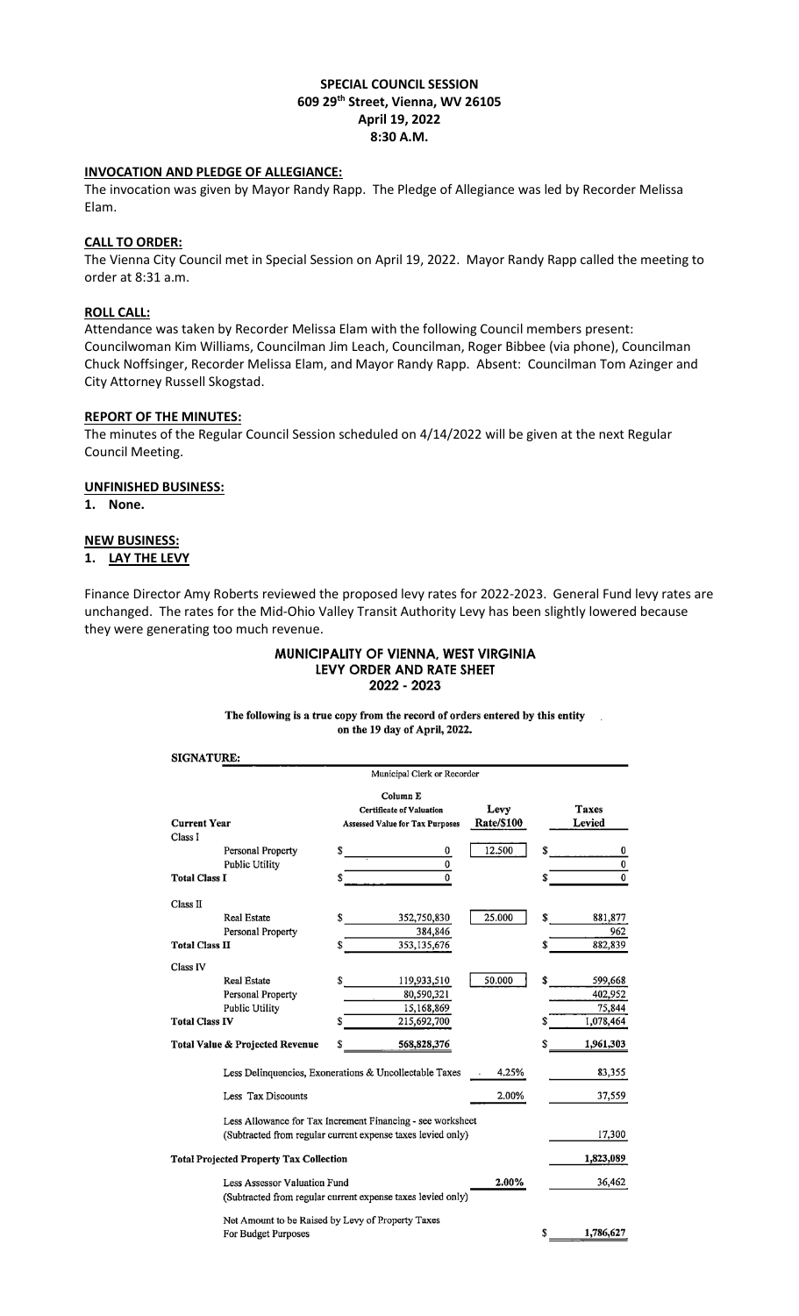## **SPECIAL COUNCIL SESSION 609 29th Street, Vienna, WV 26105 April 19, 2022 8:30 A.M.**

## **INVOCATION AND PLEDGE OF ALLEGIANCE:**

The invocation was given by Mayor Randy Rapp. The Pledge of Allegiance was led by Recorder Melissa Elam.

### **CALL TO ORDER:**

The Vienna City Council met in Special Session on April 19, 2022. Mayor Randy Rapp called the meeting to order at 8:31 a.m.

### **ROLL CALL:**

Attendance was taken by Recorder Melissa Elam with the following Council members present: Councilwoman Kim Williams, Councilman Jim Leach, Councilman, Roger Bibbee (via phone), Councilman Chuck Noffsinger, Recorder Melissa Elam, and Mayor Randy Rapp. Absent: Councilman Tom Azinger and City Attorney Russell Skogstad.

# **REPORT OF THE MINUTES:**

The minutes of the Regular Council Session scheduled on 4/14/2022 will be given at the next Regular Council Meeting.

#### **UNFINISHED BUSINESS:**

**1. None.**

### **NEW BUSINESS:**

# **1. LAY THE LEVY**

Finance Director Amy Roberts reviewed the proposed levy rates for 2022-2023. General Fund levy rates are unchanged. The rates for the Mid-Ohio Valley Transit Authority Levy has been slightly lowered because they were generating too much revenue.

#### MUNICIPALITY OF VIENNA, WEST VIRGINIA LEVY ORDER AND RATE SHEET 2022 - 2023

The following is a true copy from the record of orders entered by this entity  $\mathbb{R}^2$ on the 19 day of April, 2022.

#### **SIGNATURE:**

|                                                | Municipal Clerk or Recorder                                                           |                           |                        |
|------------------------------------------------|---------------------------------------------------------------------------------------|---------------------------|------------------------|
| <b>Current Year</b><br>Class I                 | Column E<br><b>Certificate of Valuation</b><br><b>Assessed Value for Tax Purposes</b> | Levy<br><b>Rate/\$100</b> | <b>Taxes</b><br>Levied |
| Personal Property                              | 0                                                                                     | 12.500                    | 0                      |
| Public Utility                                 | 0                                                                                     |                           | $\bf{0}$               |
| <b>Total Class I</b>                           | $\bf{0}$                                                                              |                           | $\overline{0}$         |
| Class II                                       |                                                                                       |                           |                        |
| <b>Real Estate</b>                             | 352,750,830                                                                           | 25.000                    | 881,877<br>S           |
| Personal Property                              | 384,846                                                                               |                           | 962                    |
| <b>Total Class II</b>                          | 353, 135, 676                                                                         |                           | 882,839                |
| Class IV                                       |                                                                                       |                           |                        |
| <b>Real Estate</b>                             | 119,933,510                                                                           | 50.000                    | 599,668                |
| Personal Property                              | 80,590,321                                                                            |                           | 402,952                |
| Public Utility                                 | 15,168,869                                                                            |                           | 75,844                 |
| <b>Total Class IV</b>                          | 215,692,700                                                                           |                           | 1,078,464              |
| Total Value & Projected Revenue                | 568,828,376                                                                           |                           | 1,961,303              |
|                                                | Less Delinquencies, Exonerations & Uncollectable Taxes                                | 4.25%                     | 83,355                 |
| Less Tax Discounts                             |                                                                                       | 2.00%                     | 37,559                 |
|                                                | Less Allowance for Tax Increment Financing - see worksheet                            |                           |                        |
|                                                | (Subtracted from regular current expense taxes levied only)                           |                           | 17,300                 |
| <b>Total Projected Property Tax Collection</b> |                                                                                       |                           | 1,823,089              |
| Less Assessor Valuation Fund                   | (Subtracted from regular current expense taxes levied only)                           | 2.00%                     | 36,462                 |
|                                                | Net Amount to be Raised by Levy of Property Taxes                                     |                           |                        |
| For Budget Purposes                            |                                                                                       |                           | 1,786,627<br>S         |